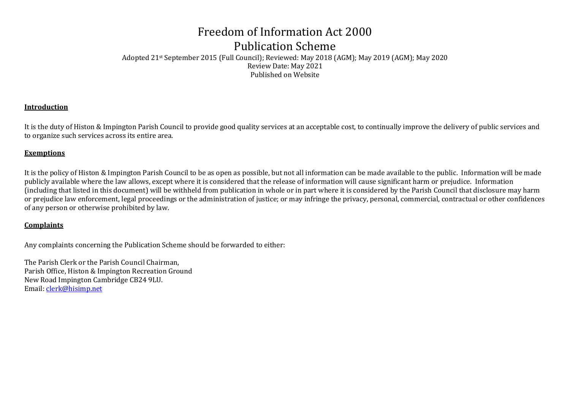## Freedom of Information Act 2000 Publication Scheme

Adopted 21st September 2015 (Full Council); Reviewed: May 2018 (AGM); May 2019 (AGM); May 2020 Review Date: May 2021 Published on Website

#### **Introduction**

It is the duty of Histon & Impington Parish Council to provide good quality services at an acceptable cost, to continually improve the delivery of public services and to organize such services across its entire area.

#### **Exemptions**

It is the policy of Histon & Impington Parish Council to be as open as possible, but not all information can be made available to the public. Information will be made publicly available where the law allows, except where it is considered that the release of information will cause significant harm or prejudice. Information (including that listed in this document) will be withheld from publication in whole or in part where it is considered by the Parish Council that disclosure may harm or prejudice law enforcement, legal proceedings or the administration of justice; or may infringe the privacy, personal, commercial, contractual or other confidences of any person or otherwise prohibited by law.

#### **Complaints**

Any complaints concerning the Publication Scheme should be forwarded to either:

The Parish Clerk or the Parish Council Chairman, Parish Office, Histon & Impington Recreation Ground New Road Impington Cambridge CB24 9LU. Email: [clerk@hisimp.net](mailto:clerk@hisimp.net)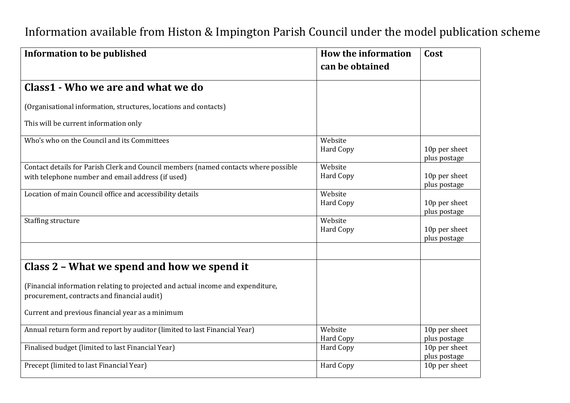| <b>Information to be published</b>                                                  | <b>How the information</b><br>can be obtained | Cost                          |
|-------------------------------------------------------------------------------------|-----------------------------------------------|-------------------------------|
| Class1 - Who we are and what we do                                                  |                                               |                               |
| (Organisational information, structures, locations and contacts)                    |                                               |                               |
| This will be current information only                                               |                                               |                               |
| Who's who on the Council and its Committees                                         | Website<br><b>Hard Copy</b>                   | 10p per sheet<br>plus postage |
| Contact details for Parish Clerk and Council members (named contacts where possible | Website                                       |                               |
| with telephone number and email address (if used)                                   | <b>Hard Copy</b>                              | 10p per sheet<br>plus postage |
| Location of main Council office and accessibility details                           | Website                                       |                               |
|                                                                                     | <b>Hard Copy</b>                              | 10p per sheet<br>plus postage |
| Staffing structure                                                                  | Website                                       |                               |
|                                                                                     | <b>Hard Copy</b>                              | 10p per sheet                 |
|                                                                                     |                                               | plus postage                  |
|                                                                                     |                                               |                               |
| Class 2 - What we spend and how we spend it                                         |                                               |                               |
| (Financial information relating to projected and actual income and expenditure,     |                                               |                               |
| procurement, contracts and financial audit)                                         |                                               |                               |
| Current and previous financial year as a minimum                                    |                                               |                               |
| Annual return form and report by auditor (limited to last Financial Year)           | Website                                       | 10p per sheet                 |
|                                                                                     | Hard Copy                                     | plus postage                  |
| Finalised budget (limited to last Financial Year)                                   | Hard Copy                                     | 10p per sheet                 |
|                                                                                     |                                               | plus postage                  |
| Precept (limited to last Financial Year)                                            | <b>Hard Copy</b>                              | 10p per sheet                 |

# Information available from Histon & Impington Parish Council under the model publication scheme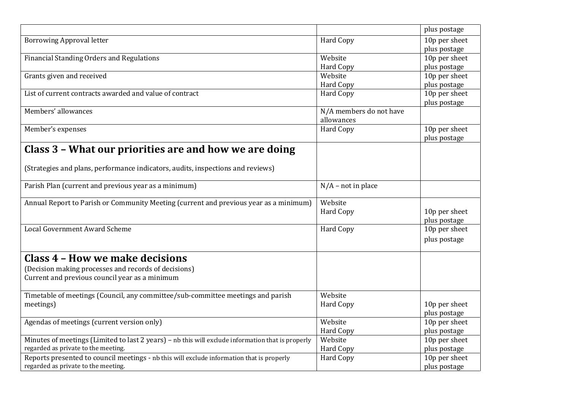|                                                                                                                                  |                         | plus postage                  |
|----------------------------------------------------------------------------------------------------------------------------------|-------------------------|-------------------------------|
| <b>Borrowing Approval letter</b>                                                                                                 | <b>Hard Copy</b>        | 10p per sheet                 |
|                                                                                                                                  |                         | plus postage                  |
| <b>Financial Standing Orders and Regulations</b>                                                                                 | Website                 | 10p per sheet                 |
|                                                                                                                                  | Hard Copy               | plus postage                  |
| Grants given and received                                                                                                        | Website                 | 10p per sheet                 |
|                                                                                                                                  | <b>Hard Copy</b>        | plus postage                  |
| List of current contracts awarded and value of contract                                                                          | <b>Hard Copy</b>        | 10p per sheet                 |
|                                                                                                                                  |                         | plus postage                  |
| Members' allowances                                                                                                              | N/A members do not have |                               |
|                                                                                                                                  | allowances              |                               |
| Member's expenses                                                                                                                | <b>Hard Copy</b>        | 10p per sheet                 |
|                                                                                                                                  |                         | plus postage                  |
| Class 3 - What our priorities are and how we are doing                                                                           |                         |                               |
|                                                                                                                                  |                         |                               |
|                                                                                                                                  |                         |                               |
| (Strategies and plans, performance indicators, audits, inspections and reviews)                                                  |                         |                               |
|                                                                                                                                  |                         |                               |
| Parish Plan (current and previous year as a minimum)                                                                             | $N/A$ – not in place    |                               |
| Annual Report to Parish or Community Meeting (current and previous year as a minimum)                                            | Website                 |                               |
|                                                                                                                                  | <b>Hard Copy</b>        | 10p per sheet                 |
|                                                                                                                                  |                         |                               |
| <b>Local Government Award Scheme</b>                                                                                             |                         | plus postage                  |
|                                                                                                                                  | <b>Hard Copy</b>        | 10p per sheet                 |
|                                                                                                                                  |                         | plus postage                  |
| Class 4 - How we make decisions                                                                                                  |                         |                               |
|                                                                                                                                  |                         |                               |
| (Decision making processes and records of decisions)                                                                             |                         |                               |
| Current and previous council year as a minimum                                                                                   |                         |                               |
|                                                                                                                                  |                         |                               |
| Timetable of meetings (Council, any committee/sub-committee meetings and parish                                                  | Website                 |                               |
| meetings)                                                                                                                        | Hard Copy               | 10p per sheet                 |
|                                                                                                                                  |                         | plus postage                  |
| Agendas of meetings (current version only)                                                                                       | Website                 | 10p per sheet                 |
|                                                                                                                                  |                         | plus postage                  |
|                                                                                                                                  | <b>Hard Copy</b>        |                               |
| Minutes of meetings (Limited to last 2 years) - nb this will exclude information that is properly                                | Website                 | 10p per sheet                 |
| regarded as private to the meeting.                                                                                              | <b>Hard Copy</b>        | plus postage                  |
| Reports presented to council meetings - nb this will exclude information that is properly<br>regarded as private to the meeting. | Hard Copy               | 10p per sheet<br>plus postage |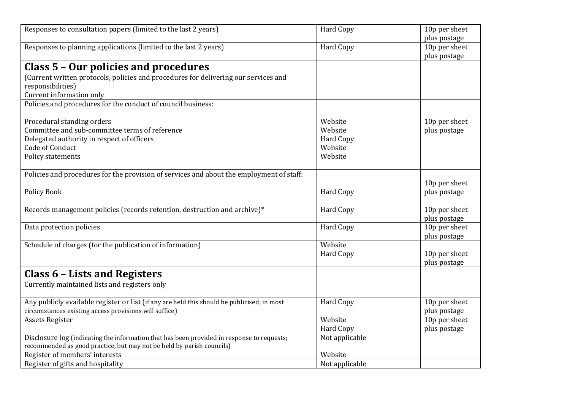| Responses to consultation papers (limited to the last 2 years)                              | <b>Hard Copy</b> | 10p per sheet                 |
|---------------------------------------------------------------------------------------------|------------------|-------------------------------|
|                                                                                             |                  | plus postage                  |
| Responses to planning applications (limited to the last 2 years)                            | <b>Hard Copy</b> | 10p per sheet                 |
|                                                                                             |                  | plus postage                  |
| Class 5 - Our policies and procedures                                                       |                  |                               |
| (Current written protocols, policies and procedures for delivering our services and         |                  |                               |
| responsibilities)                                                                           |                  |                               |
| Current information only                                                                    |                  |                               |
| Policies and procedures for the conduct of council business:                                |                  |                               |
|                                                                                             | Website          |                               |
| Procedural standing orders<br>Committee and sub-committee terms of reference                | Website          | 10p per sheet<br>plus postage |
| Delegated authority in respect of officers                                                  | Hard Copy        |                               |
| Code of Conduct                                                                             | Website          |                               |
| Policy statements                                                                           | Website          |                               |
|                                                                                             |                  |                               |
| Policies and procedures for the provision of services and about the employment of staff:    |                  |                               |
|                                                                                             |                  | 10p per sheet                 |
| <b>Policy Book</b>                                                                          | <b>Hard Copy</b> | plus postage                  |
|                                                                                             |                  |                               |
| Records management policies (records retention, destruction and archive)*                   | Hard Copy        | 10p per sheet                 |
|                                                                                             |                  | plus postage                  |
| Data protection policies                                                                    | <b>Hard Copy</b> | 10p per sheet                 |
|                                                                                             |                  | plus postage                  |
| Schedule of charges (for the publication of information)                                    | Website          |                               |
|                                                                                             | <b>Hard Copy</b> | 10p per sheet                 |
|                                                                                             |                  | plus postage                  |
| Class 6 - Lists and Registers                                                               |                  |                               |
| Currently maintained lists and registers only                                               |                  |                               |
|                                                                                             |                  |                               |
| Any publicly available register or list (if any are held this should be publicised; in most | Hard Copy        | 10p per sheet                 |
| circumstances existing access provisions will suffice)                                      |                  | plus postage                  |
| Assets Register                                                                             | Website          | 10p per sheet                 |
|                                                                                             | <b>Hard Copy</b> | plus postage                  |
| Disclosure log (indicating the information that has been provided in response to requests;  | Not applicable   |                               |
| recommended as good practice, but may not be held by parish councils)                       |                  |                               |
| Register of members' interests                                                              | Website          |                               |
| Register of gifts and hospitality                                                           | Not applicable   |                               |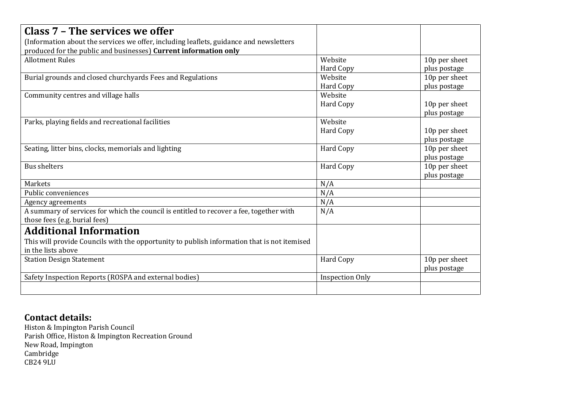| Class 7 - The services we offer                                                             |                        |               |
|---------------------------------------------------------------------------------------------|------------------------|---------------|
| (Information about the services we offer, including leaflets, guidance and newsletters      |                        |               |
| produced for the public and businesses) Current information only                            |                        |               |
| <b>Allotment Rules</b>                                                                      | Website                | 10p per sheet |
|                                                                                             | <b>Hard Copy</b>       | plus postage  |
| Burial grounds and closed churchyards Fees and Regulations                                  | Website                | 10p per sheet |
|                                                                                             | Hard Copy              | plus postage  |
| Community centres and village halls                                                         | Website                |               |
|                                                                                             | Hard Copy              | 10p per sheet |
|                                                                                             |                        | plus postage  |
| Parks, playing fields and recreational facilities                                           | Website                |               |
|                                                                                             | <b>Hard Copy</b>       | 10p per sheet |
|                                                                                             |                        | plus postage  |
| Seating, litter bins, clocks, memorials and lighting                                        | Hard Copy              | 10p per sheet |
|                                                                                             |                        | plus postage  |
| <b>Bus shelters</b>                                                                         | Hard Copy              | 10p per sheet |
|                                                                                             |                        | plus postage  |
| <b>Markets</b>                                                                              | N/A                    |               |
| Public conveniences                                                                         | N/A                    |               |
| Agency agreements                                                                           | N/A                    |               |
| A summary of services for which the council is entitled to recover a fee, together with     | N/A                    |               |
| those fees (e.g. burial fees)                                                               |                        |               |
| <b>Additional Information</b>                                                               |                        |               |
| This will provide Councils with the opportunity to publish information that is not itemised |                        |               |
| in the lists above                                                                          |                        |               |
| <b>Station Design Statement</b>                                                             | Hard Copy              | 10p per sheet |
|                                                                                             |                        | plus postage  |
| Safety Inspection Reports (ROSPA and external bodies)                                       | <b>Inspection Only</b> |               |
|                                                                                             |                        |               |
|                                                                                             |                        |               |

### **Contact details:**

Histon & Impington Parish Council Parish Office, Histon & Impington Recreation Ground New Road, Impington Cambridge CB24 9LU